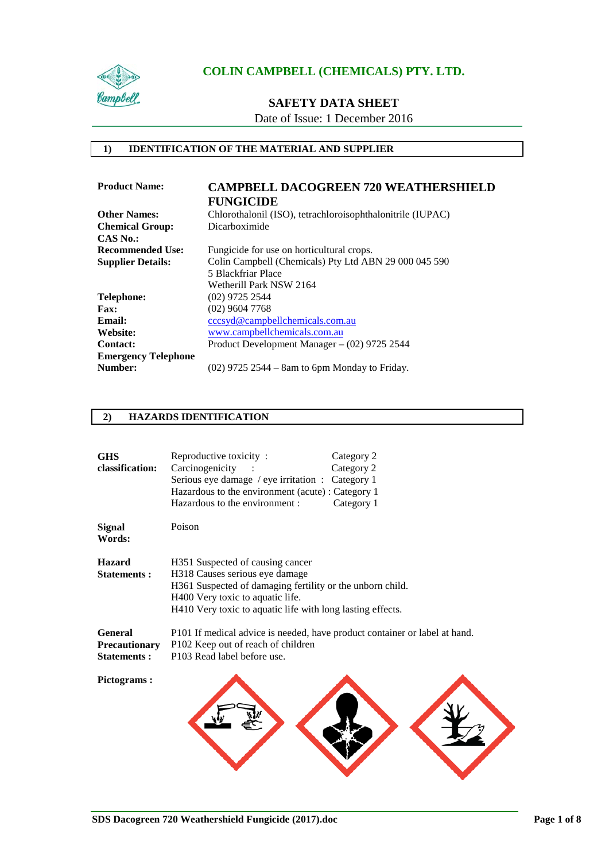

## **SAFETY DATA SHEET**

Date of Issue: 1 December 2016

#### **1) IDENTIFICATION OF THE MATERIAL AND SUPPLIER**

| <b>Product Name:</b>       | <b>CAMPBELL DACOGREEN 720 WEATHERSHIELD</b>                |
|----------------------------|------------------------------------------------------------|
|                            | <b>FUNGICIDE</b>                                           |
| <b>Other Names:</b>        | Chlorothalonil (ISO), tetrachloroisophthalonitrile (IUPAC) |
| <b>Chemical Group:</b>     | Dicarboximide                                              |
| $CAS$ No.:                 |                                                            |
| <b>Recommended Use:</b>    | Fungicide for use on horticultural crops.                  |
| <b>Supplier Details:</b>   | Colin Campbell (Chemicals) Pty Ltd ABN 29 000 045 590      |
|                            | 5 Blackfriar Place                                         |
|                            | Wetherill Park NSW 2164                                    |
| Telephone:                 | $(02)$ 9725 2544                                           |
| <b>Fax:</b>                | $(02)$ 9604 7768                                           |
| Email:                     | cccsyd@campbellchemicals.com.au                            |
| Website:                   | www.campbellchemicals.com.au                               |
| <b>Contact:</b>            | Product Development Manager $-$ (02) 9725 2544             |
| <b>Emergency Telephone</b> |                                                            |
| Number:                    | $(02)$ 9725 2544 – 8am to 6pm Monday to Friday.            |
|                            |                                                            |

### **2) HAZARDS IDENTIFICATION**

| <b>GHS</b><br>classification:                  | Reproductive toxicity:<br>Category 2<br>Category 2<br>Carcinogenicity<br>Serious eye damage / eye irritation : Category 1<br>Hazardous to the environment (acute) : Category 1<br>Hazardous to the environment :<br>Category 1    |
|------------------------------------------------|-----------------------------------------------------------------------------------------------------------------------------------------------------------------------------------------------------------------------------------|
| <b>Signal</b><br>Words:                        | Poison                                                                                                                                                                                                                            |
| <b>Hazard</b><br><b>Statements:</b>            | H351 Suspected of causing cancer<br>H318 Causes serious eye damage<br>H361 Suspected of damaging fertility or the unborn child.<br>H400 Very toxic to aquatic life.<br>H410 Very toxic to aquatic life with long lasting effects. |
| General<br>Precautionary<br><b>Statements:</b> | P101 If medical advice is needed, have product container or label at hand.<br>P102 Keep out of reach of children<br>P103 Read label before use.                                                                                   |
| <b>Pictograms:</b>                             |                                                                                                                                                                                                                                   |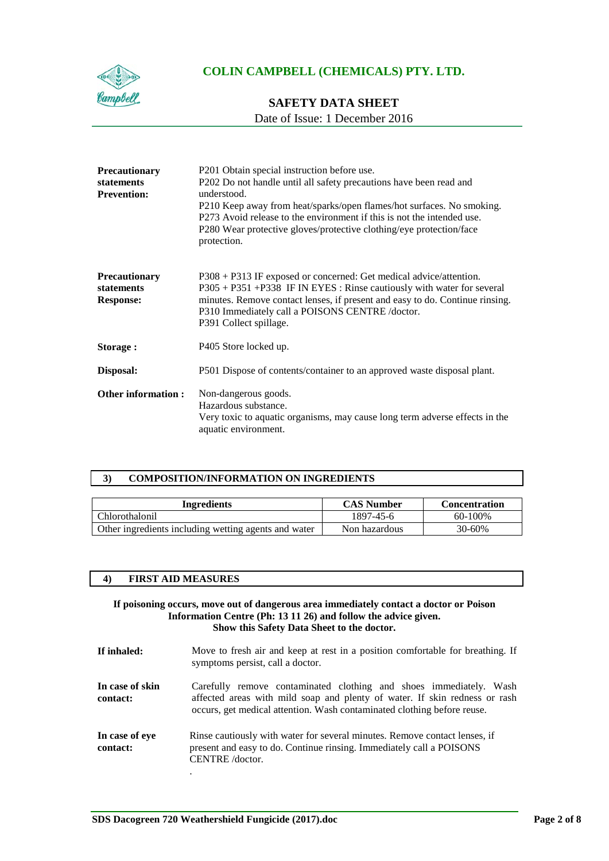

## **SAFETY DATA SHEET**

Date of Issue: 1 December 2016

| <b>Precautionary</b><br>statements<br><b>Prevention:</b> | P201 Obtain special instruction before use.<br>P202 Do not handle until all safety precautions have been read and<br>understood.<br>P210 Keep away from heat/sparks/open flames/hot surfaces. No smoking.<br>P273 Avoid release to the environment if this is not the intended use.<br>P280 Wear protective gloves/protective clothing/eye protection/face<br>protection. |
|----------------------------------------------------------|---------------------------------------------------------------------------------------------------------------------------------------------------------------------------------------------------------------------------------------------------------------------------------------------------------------------------------------------------------------------------|
| <b>Precautionary</b><br>statements<br><b>Response:</b>   | P308 + P313 IF exposed or concerned: Get medical advice/attention.<br>P305 + P351 + P338 IF IN EYES: Rinse cautiously with water for several<br>minutes. Remove contact lenses, if present and easy to do. Continue rinsing.<br>P310 Immediately call a POISONS CENTRE /doctor.<br>P391 Collect spillage.                                                                 |
| Storage:                                                 | P405 Store locked up.                                                                                                                                                                                                                                                                                                                                                     |
| Disposal:                                                | P501 Dispose of contents/container to an approved waste disposal plant.                                                                                                                                                                                                                                                                                                   |
| <b>Other information:</b>                                | Non-dangerous goods.<br>Hazardous substance.<br>Very toxic to aquatic organisms, may cause long term adverse effects in the<br>aquatic environment.                                                                                                                                                                                                                       |

### **3) COMPOSITION/INFORMATION ON INGREDIENTS**

| <b>Ingredients</b>                                   | <b>CAS Number</b> | <b>Concentration</b> |
|------------------------------------------------------|-------------------|----------------------|
| Chlorothalonil                                       | 1897-45-6         | $60-100\%$           |
| Other ingredients including wetting agents and water | Non hazardous     | 30-60%               |

| <b>FIRST AID MEASURES</b><br>4) |
|---------------------------------|
|---------------------------------|

#### **If poisoning occurs, move out of dangerous area immediately contact a doctor or Poison Information Centre (Ph: 13 11 26) and follow the advice given. Show this Safety Data Sheet to the doctor.**

**If inhaled:** Move to fresh air and keep at rest in a position comfortable for breathing. If symptoms persist, call a doctor. **In case of skin contact:** Carefully remove contaminated clothing and shoes immediately. Wash affected areas with mild soap and plenty of water. If skin redness or rash occurs, get medical attention. Wash contaminated clothing before reuse. **In case of eye contact:** Rinse cautiously with water for several minutes. Remove contact lenses, if present and easy to do. Continue rinsing. Immediately call a POISONS CENTRE /doctor. .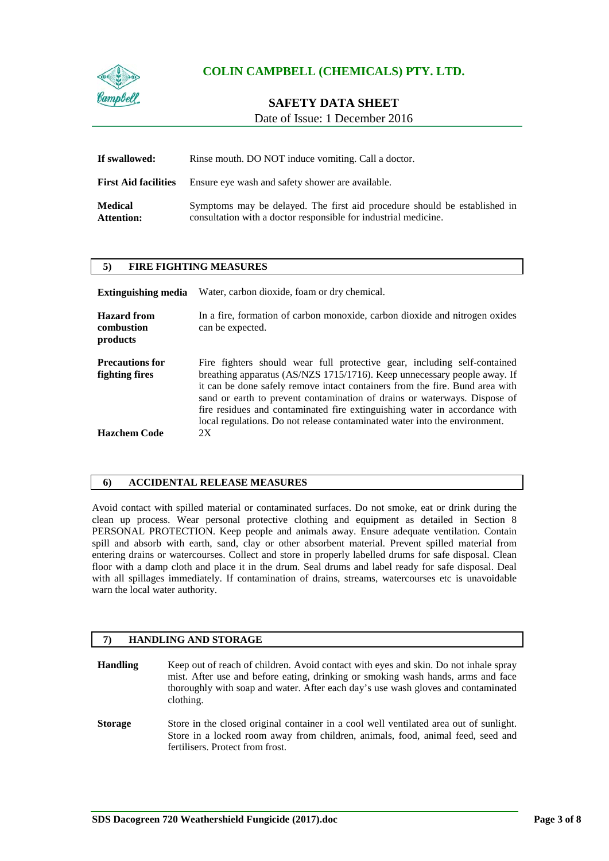

## **SAFETY DATA SHEET**

Date of Issue: 1 December 2016

| If swallowed:                       | Rinse mouth. DO NOT induce vomiting. Call a doctor.                                                                                          |  |
|-------------------------------------|----------------------------------------------------------------------------------------------------------------------------------------------|--|
| <b>First Aid facilities</b>         | Ensure eye wash and safety shower are available.                                                                                             |  |
| <b>Medical</b><br><b>Attention:</b> | Symptoms may be delayed. The first aid procedure should be established in<br>consultation with a doctor responsible for industrial medicine. |  |

#### **5) FIRE FIGHTING MEASURES**

| <b>Extinguishing media</b>                                      | Water, carbon dioxide, foam or dry chemical.                                                                                                                                                                                                                                                                                                                                                                                                                                        |
|-----------------------------------------------------------------|-------------------------------------------------------------------------------------------------------------------------------------------------------------------------------------------------------------------------------------------------------------------------------------------------------------------------------------------------------------------------------------------------------------------------------------------------------------------------------------|
| <b>Hazard</b> from<br>combustion<br>products                    | In a fire, formation of carbon monoxide, carbon dioxide and nitrogen oxides<br>can be expected.                                                                                                                                                                                                                                                                                                                                                                                     |
| <b>Precautions for</b><br>fighting fires<br><b>Hazchem Code</b> | Fire fighters should wear full protective gear, including self-contained<br>breathing apparatus (AS/NZS 1715/1716). Keep unnecessary people away. If<br>it can be done safely remove intact containers from the fire. Bund area with<br>sand or earth to prevent contamination of drains or waterways. Dispose of<br>fire residues and contaminated fire extinguishing water in accordance with<br>local regulations. Do not release contaminated water into the environment.<br>2X |

#### **6) ACCIDENTAL RELEASE MEASURES**

Avoid contact with spilled material or contaminated surfaces. Do not smoke, eat or drink during the clean up process. Wear personal protective clothing and equipment as detailed in Section 8 PERSONAL PROTECTION. Keep people and animals away. Ensure adequate ventilation. Contain spill and absorb with earth, sand, clay or other absorbent material. Prevent spilled material from entering drains or watercourses. Collect and store in properly labelled drums for safe disposal. Clean floor with a damp cloth and place it in the drum. Seal drums and label ready for safe disposal. Deal with all spillages immediately. If contamination of drains, streams, watercourses etc is unavoidable warn the local water authority.

#### **7) HANDLING AND STORAGE**

**Handling** Keep out of reach of children. Avoid contact with eyes and skin. Do not inhale spray mist. After use and before eating, drinking or smoking wash hands, arms and face thoroughly with soap and water. After each day's use wash gloves and contaminated clothing.

**Storage** Store in the closed original container in a cool well ventilated area out of sunlight. Store in a locked room away from children, animals, food, animal feed, seed and fertilisers. Protect from frost.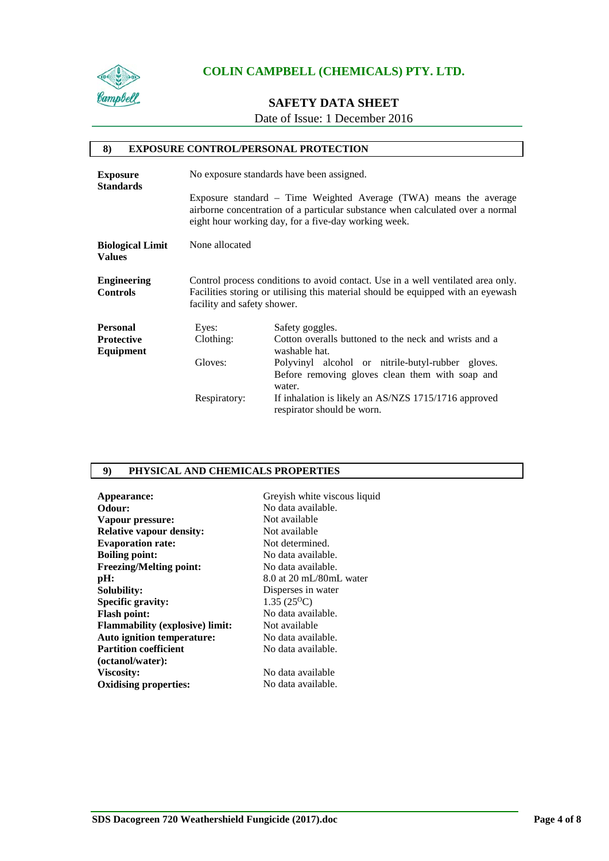

## **SAFETY DATA SHEET**

Date of Issue: 1 December 2016

| 8)                                       |                             | <b>EXPOSURE CONTROL/PERSONAL PROTECTION</b>                                                                                                                                                                 |
|------------------------------------------|-----------------------------|-------------------------------------------------------------------------------------------------------------------------------------------------------------------------------------------------------------|
| <b>Exposure</b><br><b>Standards</b>      |                             | No exposure standards have been assigned.                                                                                                                                                                   |
|                                          |                             | Exposure standard – Time Weighted Average (TWA) means the average<br>airborne concentration of a particular substance when calculated over a normal<br>eight hour working day, for a five-day working week. |
| <b>Biological Limit</b><br><b>Values</b> | None allocated              |                                                                                                                                                                                                             |
| <b>Engineering</b><br><b>Controls</b>    | facility and safety shower. | Control process conditions to avoid contact. Use in a well ventilated area only.<br>Facilities storing or utilising this material should be equipped with an eyewash                                        |
| <b>Personal</b>                          | Eyes:                       | Safety goggles.                                                                                                                                                                                             |
| <b>Protective</b><br>Equipment           | Clothing:                   | Cotton overalls buttoned to the neck and wrists and a<br>washable hat.                                                                                                                                      |
|                                          | Gloves:                     | Polyvinyl alcohol or nitrile-butyl-rubber gloves.<br>Before removing gloves clean them with soap and<br>water.                                                                                              |
|                                          | Respiratory:                | If inhalation is likely an AS/NZS 1715/1716 approved<br>respirator should be worn.                                                                                                                          |

## **9) PHYSICAL AND CHEMICALS PROPERTIES**

| Appearance:                            | Greyish white viscous liquid |
|----------------------------------------|------------------------------|
| Odour:                                 | No data available.           |
| Vapour pressure:                       | Not available                |
| <b>Relative vapour density:</b>        | Not available                |
| <b>Evaporation rate:</b>               | Not determined.              |
| <b>Boiling point:</b>                  | No data available.           |
| <b>Freezing/Melting point:</b>         | No data available.           |
| pH:                                    | 8.0 at 20 mL/80mL water      |
| Solubility:                            | Disperses in water           |
| <b>Specific gravity:</b>               | $1.35(25^{\circ}C)$          |
| <b>Flash point:</b>                    | No data available.           |
| <b>Flammability (explosive) limit:</b> | Not available                |
| Auto ignition temperature:             | No data available.           |
| <b>Partition coefficient</b>           | No data available.           |
| (octanol/water):                       |                              |
| Viscosity:                             | No data available            |
| <b>Oxidising properties:</b>           | No data available.           |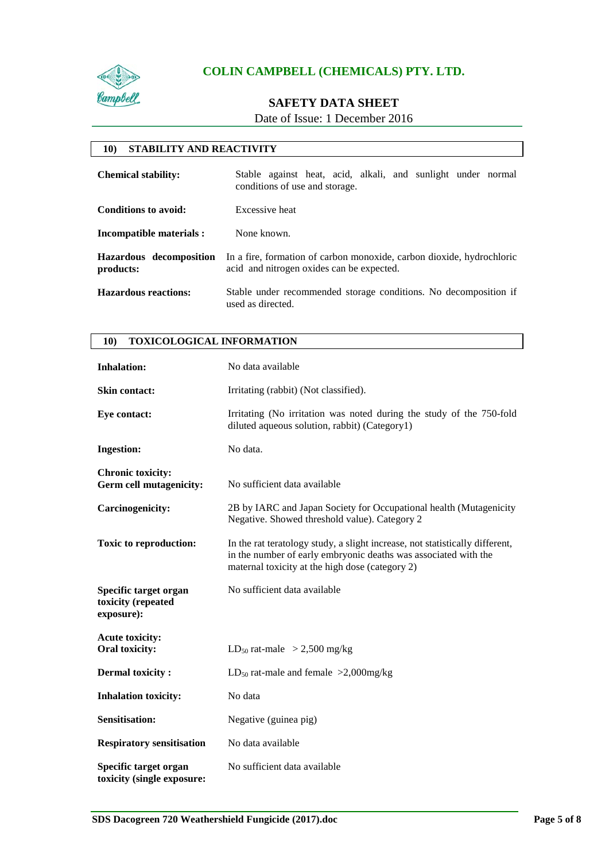

## **SAFETY DATA SHEET**

Date of Issue: 1 December 2016

### **10) STABILITY AND REACTIVITY**

| <b>Chemical stability:</b>           | Stable against heat, acid, alkali, and sunlight under normal<br>conditions of use and storage.                     |  |
|--------------------------------------|--------------------------------------------------------------------------------------------------------------------|--|
| Conditions to avoid:                 | Excessive heat                                                                                                     |  |
| Incompatible materials :             | None known.                                                                                                        |  |
| Hazardous decomposition<br>products: | In a fire, formation of carbon monoxide, carbon dioxide, hydrochloric<br>acid and nitrogen oxides can be expected. |  |
| <b>Hazardous reactions:</b>          | Stable under recommended storage conditions. No decomposition if<br>used as directed.                              |  |

| <b>TOXICOLOGICAL INFORMATION</b><br><b>10)</b>             |                                                                                                                                                                                                    |
|------------------------------------------------------------|----------------------------------------------------------------------------------------------------------------------------------------------------------------------------------------------------|
| <b>Inhalation:</b>                                         | No data available                                                                                                                                                                                  |
| <b>Skin contact:</b>                                       | Irritating (rabbit) (Not classified).                                                                                                                                                              |
| Eye contact:                                               | Irritating (No irritation was noted during the study of the 750-fold<br>diluted aqueous solution, rabbit) (Category1)                                                                              |
| <b>Ingestion:</b>                                          | No data.                                                                                                                                                                                           |
| <b>Chronic toxicity:</b><br><b>Germ cell mutagenicity:</b> | No sufficient data available                                                                                                                                                                       |
| <b>Carcinogenicity:</b>                                    | 2B by IARC and Japan Society for Occupational health (Mutagenicity<br>Negative. Showed threshold value). Category 2                                                                                |
| <b>Toxic to reproduction:</b>                              | In the rat teratology study, a slight increase, not statistically different,<br>in the number of early embryonic deaths was associated with the<br>maternal toxicity at the high dose (category 2) |
| Specific target organ<br>toxicity (repeated<br>exposure):  | No sufficient data available                                                                                                                                                                       |
| <b>Acute toxicity:</b><br>Oral toxicity:                   | LD <sub>50</sub> rat-male > 2,500 mg/kg                                                                                                                                                            |
| <b>Dermal toxicity:</b>                                    | LD <sub>50</sub> rat-male and female $>2,000$ mg/kg                                                                                                                                                |
| <b>Inhalation toxicity:</b>                                | No data                                                                                                                                                                                            |
| <b>Sensitisation:</b>                                      | Negative (guinea pig)                                                                                                                                                                              |
| <b>Respiratory sensitisation</b>                           | No data available                                                                                                                                                                                  |
| Specific target organ<br>toxicity (single exposure:        | No sufficient data available                                                                                                                                                                       |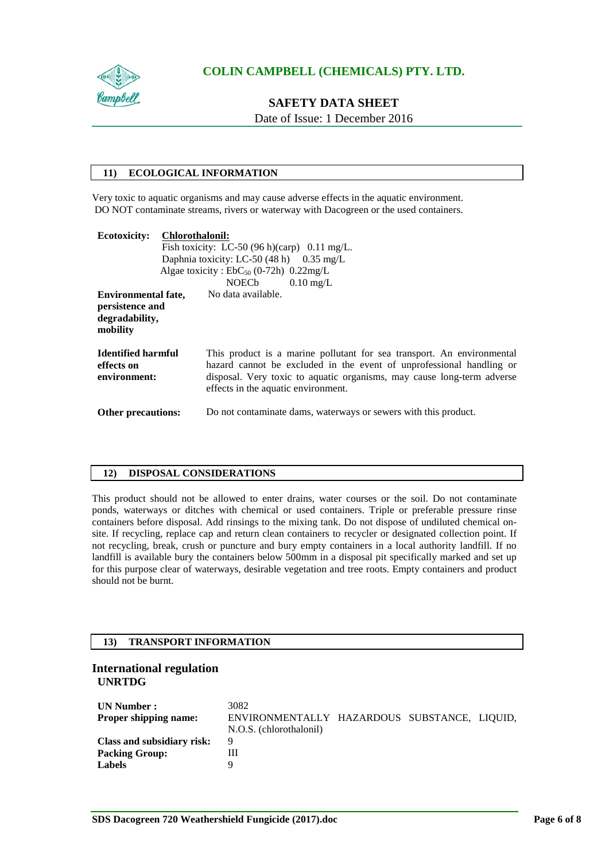

# **SAFETY DATA SHEET**

Date of Issue: 1 December 2016

### **11) ECOLOGICAL INFORMATION**

Very toxic to aquatic organisms and may cause adverse effects in the aquatic environment. DO NOT contaminate streams, rivers or waterway with Dacogreen or the used containers.

| <b>Ecotoxicity:</b>                                                         | <b>Chlorothalonil:</b> | Fish toxicity: LC-50 $(96 h)(\text{carp})$ 0.11 mg/L.<br>Daphnia toxicity: LC-50 $(48 h)$ 0.35 mg/L<br>Algae toxicity : $EbC_{50}$ (0-72h) 0.22mg/L                                                                                                             |
|-----------------------------------------------------------------------------|------------------------|-----------------------------------------------------------------------------------------------------------------------------------------------------------------------------------------------------------------------------------------------------------------|
| <b>Environmental fate,</b><br>persistence and<br>degradability,<br>mobility |                        | NOECb $0.10 \text{ mg/L}$<br>No data available.                                                                                                                                                                                                                 |
| <b>Identified harmful</b><br>effects on<br>environment:                     |                        | This product is a marine pollutant for sea transport. An environmental<br>hazard cannot be excluded in the event of unprofessional handling or<br>disposal. Very toxic to aquatic organisms, may cause long-term adverse<br>effects in the aquatic environment. |
| <b>Other precautions:</b>                                                   |                        | Do not contaminate dams, waterways or sewers with this product.                                                                                                                                                                                                 |

#### **12) DISPOSAL CONSIDERATIONS**

This product should not be allowed to enter drains, water courses or the soil. Do not contaminate ponds, waterways or ditches with chemical or used containers. Triple or preferable pressure rinse containers before disposal. Add rinsings to the mixing tank. Do not dispose of undiluted chemical onsite. If recycling, replace cap and return clean containers to recycler or designated collection point. If not recycling, break, crush or puncture and bury empty containers in a local authority landfill. If no landfill is available bury the containers below 500mm in a disposal pit specifically marked and set up for this purpose clear of waterways, desirable vegetation and tree roots. Empty containers and product should not be burnt.

### **13) TRANSPORT INFORMATION**

#### **International regulation UNRTDG**

| UN Number :<br><b>Proper shipping name:</b> | 3082<br>ENVIRONMENTALLY HAZARDOUS SUBSTANCE, LIQUID,<br>N.O.S. (chlorothalonil) |  |  |
|---------------------------------------------|---------------------------------------------------------------------------------|--|--|
| Class and subsidiary risk:                  | 9                                                                               |  |  |
| <b>Packing Group:</b>                       | Ш                                                                               |  |  |
| <b>Labels</b>                               |                                                                                 |  |  |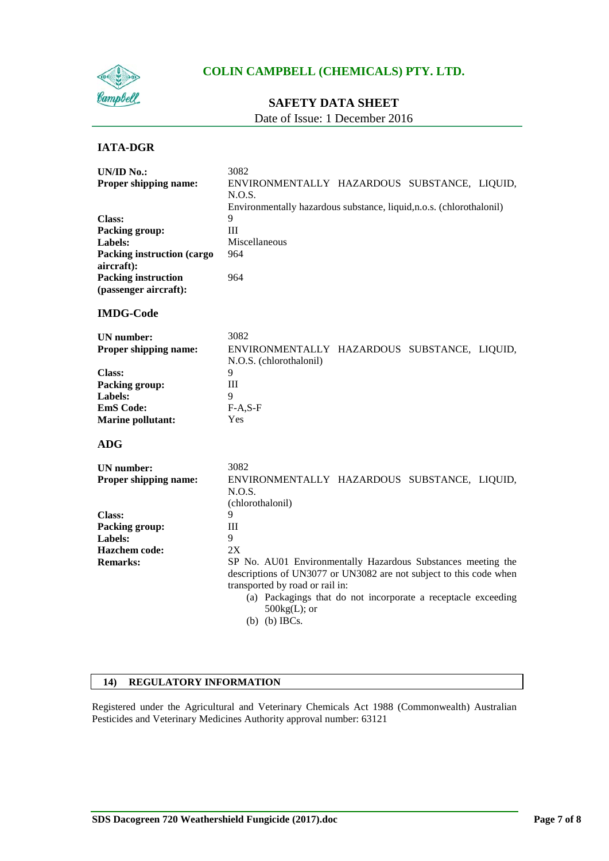

## **SAFETY DATA SHEET**

Date of Issue: 1 December 2016

### **IATA-DGR**

| <b>UN/ID No.:</b>                               | 3082                                                                                                                                                                                                                                                                              |
|-------------------------------------------------|-----------------------------------------------------------------------------------------------------------------------------------------------------------------------------------------------------------------------------------------------------------------------------------|
| Proper shipping name:                           | ENVIRONMENTALLY HAZARDOUS SUBSTANCE, LIQUID,                                                                                                                                                                                                                                      |
|                                                 | N.O.S.                                                                                                                                                                                                                                                                            |
|                                                 | Environmentally hazardous substance, liquid, n.o.s. (chlorothalonil)                                                                                                                                                                                                              |
| Class:                                          | 9                                                                                                                                                                                                                                                                                 |
| Packing group:                                  | III                                                                                                                                                                                                                                                                               |
| Labels:                                         | Miscellaneous                                                                                                                                                                                                                                                                     |
| <b>Packing instruction (cargo</b><br>aircraft): | 964                                                                                                                                                                                                                                                                               |
| <b>Packing instruction</b>                      | 964                                                                                                                                                                                                                                                                               |
| (passenger aircraft):                           |                                                                                                                                                                                                                                                                                   |
| <b>IMDG-Code</b>                                |                                                                                                                                                                                                                                                                                   |
| <b>UN</b> number:                               | 3082                                                                                                                                                                                                                                                                              |
| Proper shipping name:                           | ENVIRONMENTALLY HAZARDOUS SUBSTANCE, LIQUID,<br>N.O.S. (chlorothalonil)                                                                                                                                                                                                           |
| <b>Class:</b>                                   | 9                                                                                                                                                                                                                                                                                 |
| <b>Packing group:</b>                           | III                                                                                                                                                                                                                                                                               |
| Labels:                                         | 9                                                                                                                                                                                                                                                                                 |
| <b>EmS</b> Code:                                | $F-A, S-F$                                                                                                                                                                                                                                                                        |
| <b>Marine pollutant:</b>                        | Yes                                                                                                                                                                                                                                                                               |
| <b>ADG</b>                                      |                                                                                                                                                                                                                                                                                   |
| <b>UN</b> number:                               | 3082                                                                                                                                                                                                                                                                              |
| Proper shipping name:                           | ENVIRONMENTALLY HAZARDOUS SUBSTANCE, LIQUID,<br>N.O.S.                                                                                                                                                                                                                            |
|                                                 | (chlorothalonil)                                                                                                                                                                                                                                                                  |
| <b>Class:</b>                                   | 9                                                                                                                                                                                                                                                                                 |
| Packing group:                                  | Ш                                                                                                                                                                                                                                                                                 |
| Labels:                                         | 9                                                                                                                                                                                                                                                                                 |
| <b>Hazchem</b> code:                            | 2X                                                                                                                                                                                                                                                                                |
| <b>Remarks:</b>                                 | SP No. AU01 Environmentally Hazardous Substances meeting the<br>descriptions of UN3077 or UN3082 are not subject to this code when<br>transported by road or rail in:<br>(a) Packagings that do not incorporate a receptacle exceeding<br>$500\text{kg}(L)$ ; or<br>(b) (b) IBCs. |

### **14) REGULATORY INFORMATION**

Registered under the Agricultural and Veterinary Chemicals Act 1988 (Commonwealth) Australian Pesticides and Veterinary Medicines Authority approval number: 63121